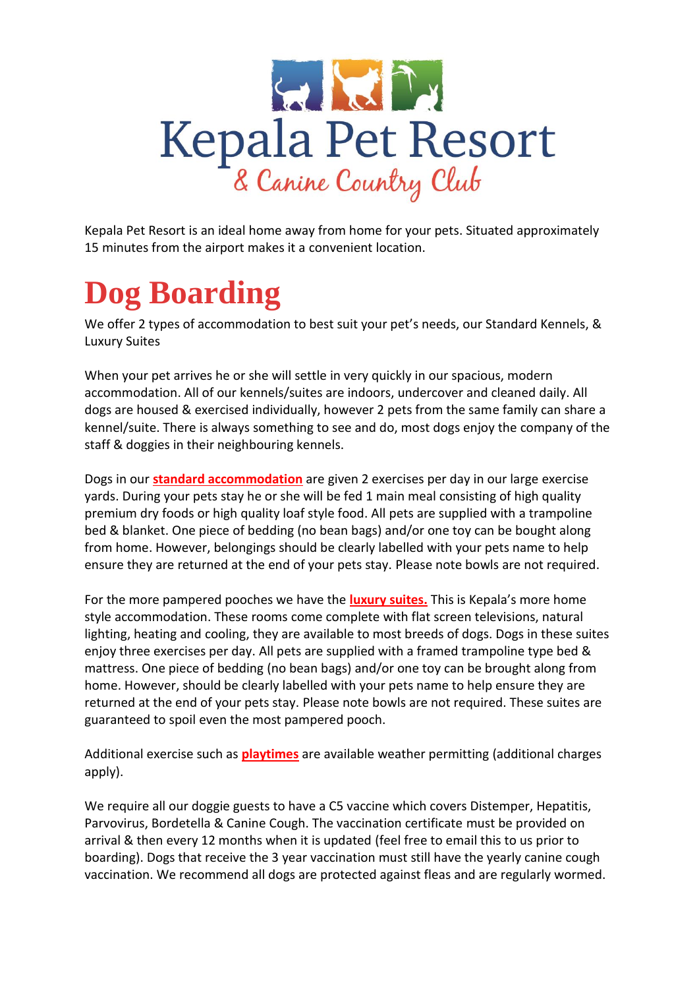

Kepala Pet Resort is an ideal home away from home for your pets. Situated approximately 15 minutes from the airport makes it a convenient location.

# **Dog Boarding**

We offer 2 types of accommodation to best suit your pet's needs, our Standard Kennels, & Luxury Suites

When your pet arrives he or she will settle in very quickly in our spacious, modern accommodation. All of our kennels/suites are indoors, undercover and cleaned daily. All dogs are housed & exercised individually, however 2 pets from the same family can share a kennel/suite. There is always something to see and do, most dogs enjoy the company of the staff & doggies in their neighbouring kennels.

Dogs in our **standard accommodation** are given 2 exercises per day in our large exercise yards. During your pets stay he or she will be fed 1 main meal consisting of high quality premium dry foods or high quality loaf style food. All pets are supplied with a trampoline bed & blanket. One piece of bedding (no bean bags) and/or one toy can be bought along from home. However, belongings should be clearly labelled with your pets name to help ensure they are returned at the end of your pets stay. Please note bowls are not required.

For the more pampered pooches we have the **luxury suites.** This is Kepala's more home style accommodation. These rooms come complete with flat screen televisions, natural lighting, heating and cooling, they are available to most breeds of dogs. Dogs in these suites enjoy three exercises per day. All pets are supplied with a framed trampoline type bed & mattress. One piece of bedding (no bean bags) and/or one toy can be brought along from home. However, should be clearly labelled with your pets name to help ensure they are returned at the end of your pets stay. Please note bowls are not required. These suites are guaranteed to spoil even the most pampered pooch.

Additional exercise such as **playtimes** are available weather permitting (additional charges apply).

We require all our doggie guests to have a C5 vaccine which covers Distemper, Hepatitis, Parvovirus, Bordetella & Canine Cough. The vaccination certificate must be provided on arrival & then every 12 months when it is updated (feel free to email this to us prior to boarding). Dogs that receive the 3 year vaccination must still have the yearly canine cough vaccination. We recommend all dogs are protected against fleas and are regularly wormed.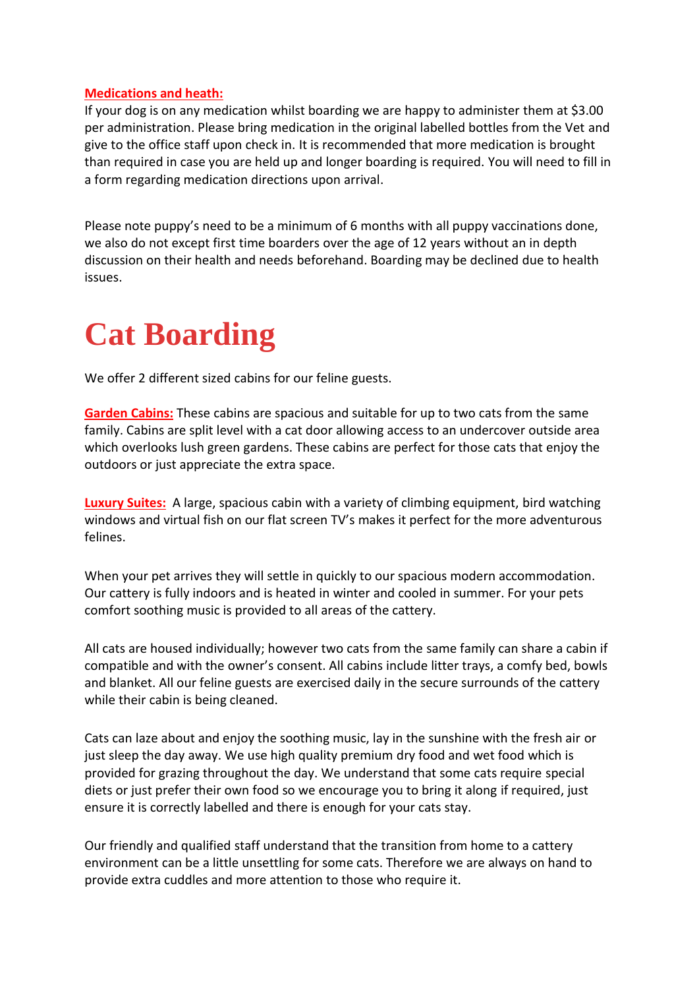#### **Medications and heath:**

If your dog is on any medication whilst boarding we are happy to administer them at \$3.00 per administration. Please bring medication in the original labelled bottles from the Vet and give to the office staff upon check in. It is recommended that more medication is brought than required in case you are held up and longer boarding is required. You will need to fill in a form regarding medication directions upon arrival.

Please note puppy's need to be a minimum of 6 months with all puppy vaccinations done, we also do not except first time boarders over the age of 12 years without an in depth discussion on their health and needs beforehand. Boarding may be declined due to health issues.

## **Cat Boarding**

We offer 2 different sized cabins for our feline guests.

**Garden Cabins:** These cabins are spacious and suitable for up to two cats from the same family. Cabins are split level with a cat door allowing access to an undercover outside area which overlooks lush green gardens. These cabins are perfect for those cats that enjoy the outdoors or just appreciate the extra space.

**Luxury Suites:** A large, spacious cabin with a variety of climbing equipment, bird watching windows and virtual fish on our flat screen TV's makes it perfect for the more adventurous felines.

When your pet arrives they will settle in quickly to our spacious modern accommodation. Our cattery is fully indoors and is heated in winter and cooled in summer. For your pets comfort soothing music is provided to all areas of the cattery.

All cats are housed individually; however two cats from the same family can share a cabin if compatible and with the owner's consent. All cabins include litter trays, a comfy bed, bowls and blanket. All our feline guests are exercised daily in the secure surrounds of the cattery while their cabin is being cleaned.

Cats can laze about and enjoy the soothing music, lay in the sunshine with the fresh air or just sleep the day away. We use high quality premium dry food and wet food which is provided for grazing throughout the day. We understand that some cats require special diets or just prefer their own food so we encourage you to bring it along if required, just ensure it is correctly labelled and there is enough for your cats stay.

Our friendly and qualified staff understand that the transition from home to a cattery environment can be a little unsettling for some cats. Therefore we are always on hand to provide extra cuddles and more attention to those who require it.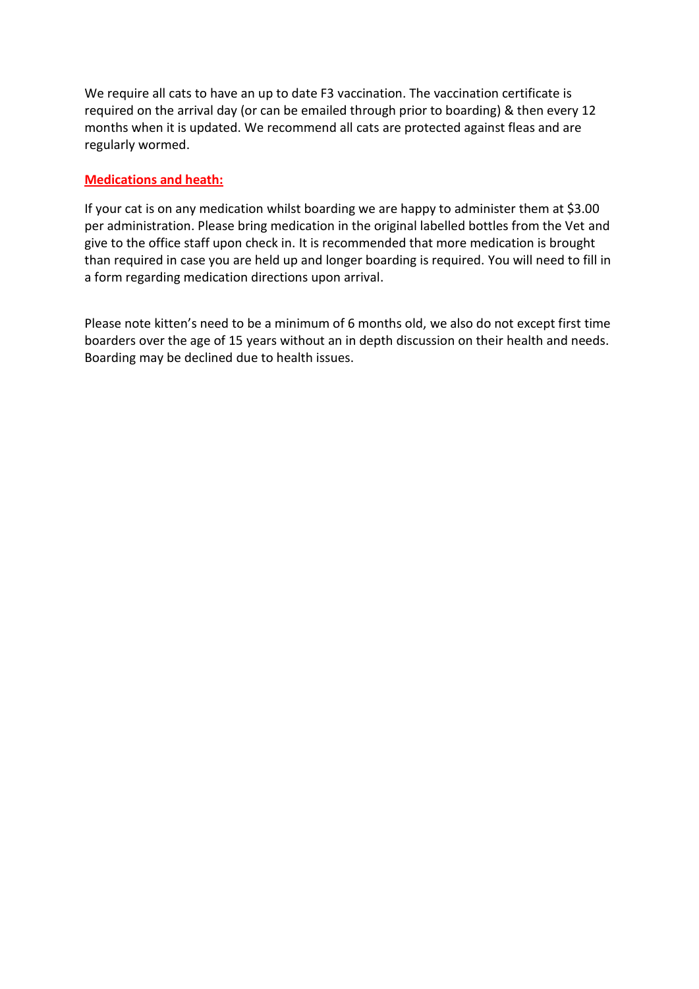We require all cats to have an up to date F3 vaccination. The vaccination certificate is required on the arrival day (or can be emailed through prior to boarding) & then every 12 months when it is updated. We recommend all cats are protected against fleas and are regularly wormed.

#### **Medications and heath:**

If your cat is on any medication whilst boarding we are happy to administer them at \$3.00 per administration. Please bring medication in the original labelled bottles from the Vet and give to the office staff upon check in. It is recommended that more medication is brought than required in case you are held up and longer boarding is required. You will need to fill in a form regarding medication directions upon arrival.

Please note kitten's need to be a minimum of 6 months old, we also do not except first time boarders over the age of 15 years without an in depth discussion on their health and needs. Boarding may be declined due to health issues.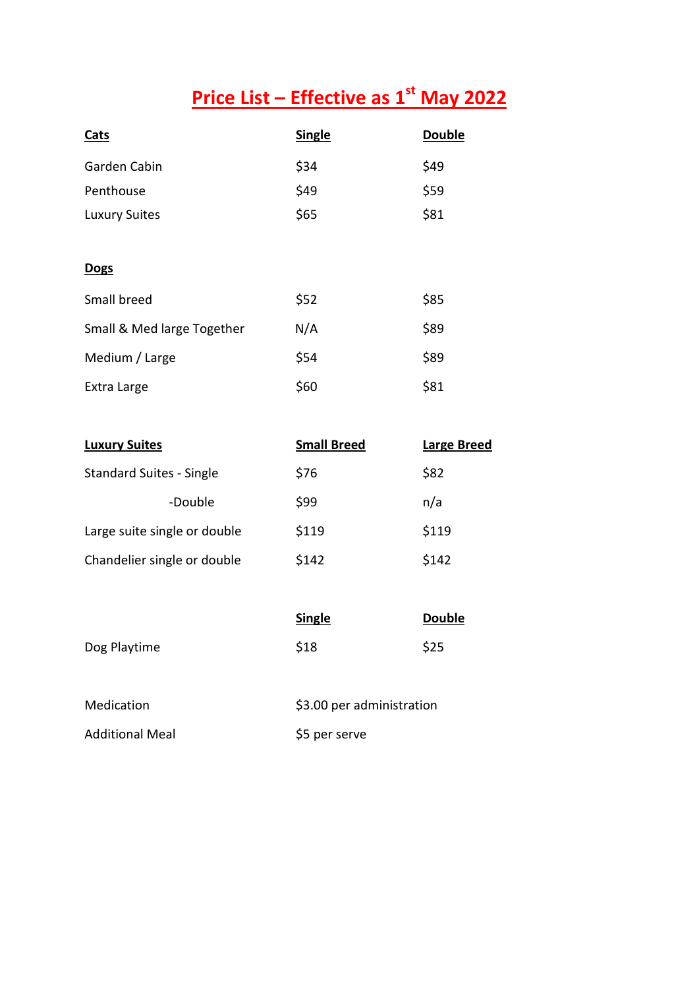## **Price List – Effective as 1st May 2022**

| <b>Cats</b>                | <b>Single</b> | <b>Double</b> |
|----------------------------|---------------|---------------|
| Garden Cabin               | \$34          | \$49          |
| Penthouse                  | \$49          | \$59          |
| <b>Luxury Suites</b>       | \$65          | \$81          |
|                            |               |               |
| <b>Dogs</b>                |               |               |
| Small breed                | \$52          | \$85          |
| Small & Med large Together | N/A           | \$89          |
| Medium / Large             | \$54          | \$89          |
| Extra Large                | \$60          | \$81          |

| <b>Luxury Suites</b>            | <b>Small Breed</b> | <b>Large Breed</b> |
|---------------------------------|--------------------|--------------------|
| <b>Standard Suites - Single</b> | \$76               | \$82               |
| -Double                         | \$99               | n/a                |
| Large suite single or double    | \$119              | \$119              |
| Chandelier single or double     | \$142              | \$142              |

|              | <b>Single</b> | <b>Double</b> |
|--------------|---------------|---------------|
| Dog Playtime | \$18          | \$25          |

| Medication             | \$3.00 per administration |
|------------------------|---------------------------|
| <b>Additional Meal</b> | \$5 per serve             |